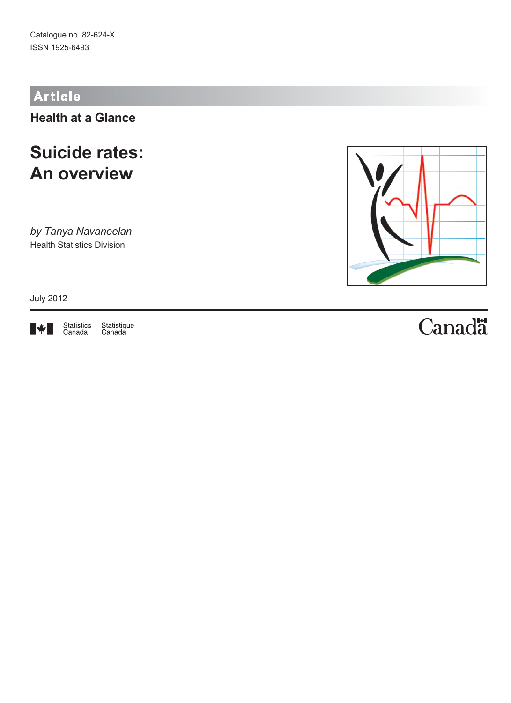# **Article**

**Health at a Glance**

# **Suicide rates: An overview**

*by Tanya Navaneelan* Health Statistics Division

July 2012



Statistics<br>Canada Statistique<br>Canada



# Canadä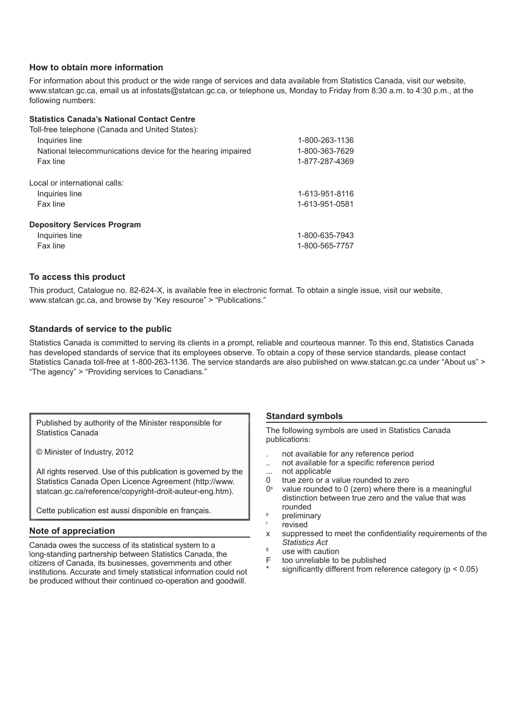### **How to obtain more information**

For information about this product or the wide range of services and data available from Statistics Canada, visit our website, [www.statcan.gc.ca,](http://www.statcan.gc.ca/) email us at [infostats@statcan.gc.ca](mailto:infostats%40statcan.gc.ca?subject=), or telephone us, Monday to Friday from 8:30 a.m. to 4:30 p.m., at the following numbers:

### **Statistics Canada's National Contact Centre**

| Toll-free telephone (Canada and United States):             |                |
|-------------------------------------------------------------|----------------|
| Inquiries line                                              | 1-800-263-1136 |
| National telecommunications device for the hearing impaired | 1-800-363-7629 |
| Fax line                                                    | 1-877-287-4369 |
| Local or international calls:                               |                |
| Inquiries line                                              | 1-613-951-8116 |
| Fax line                                                    | 1-613-951-0581 |
| <b>Depository Services Program</b>                          |                |
| Inquiries line                                              | 1-800-635-7943 |
| Fax line                                                    | 1-800-565-7757 |

### **To access this product**

This product, Catalogue no. 82-624-X, is available free in electronic format. To obtain a single issue, visit our website, www.statcan.gc.ca, and browse by "Key resource" > "Publications."

### **Standards of service to the public**

Statistics Canada is committed to serving its clients in a prompt, reliable and courteous manner. To this end, Statistics Canada has developed standards of service that its employees observe. To obtain a copy of these service standards, please contact Statistics Canada toll-free at 1-800-263-1136. The service standards are also published on [www.statcan.gc.ca](http://www.statcan.gc.ca/) under "About us" > "The agency" > "Providing services to Canadians."

Published by authority of the Minister responsible for Statistics Canada

© Minister of Industry, 2012

All rights reserved. Use of this publication is governed by the Statistics Canada Open Licence Agreement ([http://www.](http://www.statcan.gc.ca/reference/copyright-droit-auteur-eng.htm) [statcan.gc.ca/reference/copyright-droit-auteur-eng.htm](http://www.statcan.gc.ca/reference/copyright-droit-auteur-eng.htm)).

Cette publication est aussi disponible en français.

### **Note of appreciation**

Canada owes the success of its statistical system to a long-standing partnership between Statistics Canada, the citizens of Canada, its businesses, governments and other institutions. Accurate and timely statistical information could not be produced without their continued co-operation and goodwill.

### **Standard symbols**

The following symbols are used in Statistics Canada publications:

- . not available for any reference period
- .. not available for a specific reference period
- ... not applicable
- 0 true zero or a value rounded to zero
- $0<sup>s</sup>$  value rounded to 0 (zero) where there is a meaningful distinction between true zero and the value that was rounded
- <sup>p</sup> preliminary
- revised
- x suppressed to meet the confidentiality requirements of the *Statistics Act*
- $E$  use with caution<br>F too unreliable to
- too unreliable to be published
- significantly different from reference category ( $p < 0.05$ )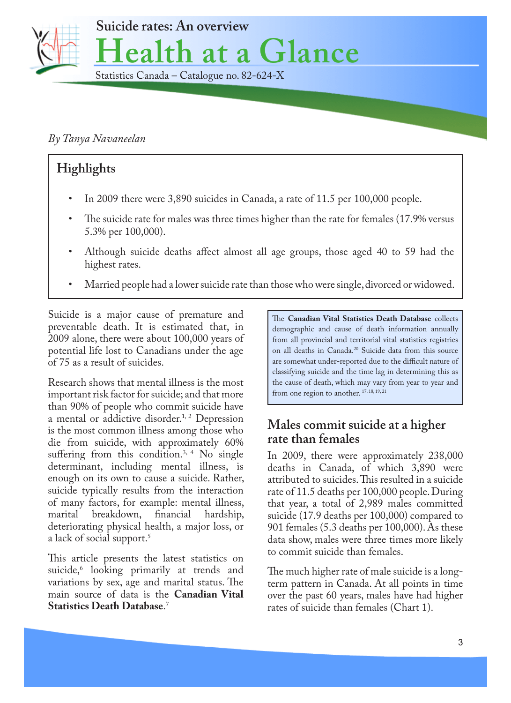

## *By Tanya Navaneelan*

# **Highlights**

- In 2009 there were 3,890 suicides in Canada, a rate of 11.5 per 100,000 people.
- The suicide rate for males was three times higher than the rate for females (17.9% versus 5.3% per 100,000).
- Although suicide deaths affect almost all age groups, those aged 40 to 59 had the highest rates.
- Married people had a lower suicide rate than those who were single, divorced or widowed.

Suicide is a major cause of premature and preventable death. It is estimated that, in 2009 alone, there were about 100,000 years of potential life lost to Canadians under the age of 75 as a result of suicides.

Research shows that mental illness is the most important risk factor for suicide; and that more than 90% of people who commit suicide have a mental or addictive disorder.<sup>1, 2</sup> Depression is the most common illness among those who die from suicide, with approximately 60% suffering from this condition.<sup>3, 4</sup> No single determinant, including mental illness, is enough on its own to cause a suicide. Rather, suicide typically results from the interaction of many factors, for example: mental illness,<br>marital breakdown, financial hardship, marital breakdown, financial hardship, deteriorating physical health, a major loss, or a lack of social support.<sup>5</sup>

This article presents the latest statistics on suicide,6 looking primarily at trends and variations by sex, age and marital status. The main source of data is the **Canadian Vital Statistics Death Database**. 7

The **Canadian Vital Statistics Death Database** collects demographic and cause of death information annually from all provincial and territorial vital statistics registries on all deaths in Canada.20 Suicide data from this source are somewhat under-reported due to the difficult nature of classifying suicide and the time lag in determining this as the cause of death, which may vary from year to year and from one region to another.  $17, 18, 19, 21$ 

# **Males commit suicide at a higher rate than females**

In 2009, there were approximately 238,000 deaths in Canada, of which 3,890 were attributed to suicides. This resulted in a suicide rate of 11.5 deaths per 100,000 people. During that year, a total of 2,989 males committed suicide (17.9 deaths per 100,000) compared to 901 females (5.3 deaths per 100,000). As these data show, males were three times more likely to commit suicide than females.

The much higher rate of male suicide is a longterm pattern in Canada. At all points in time over the past 60 years, males have had higher rates of suicide than females (Chart 1).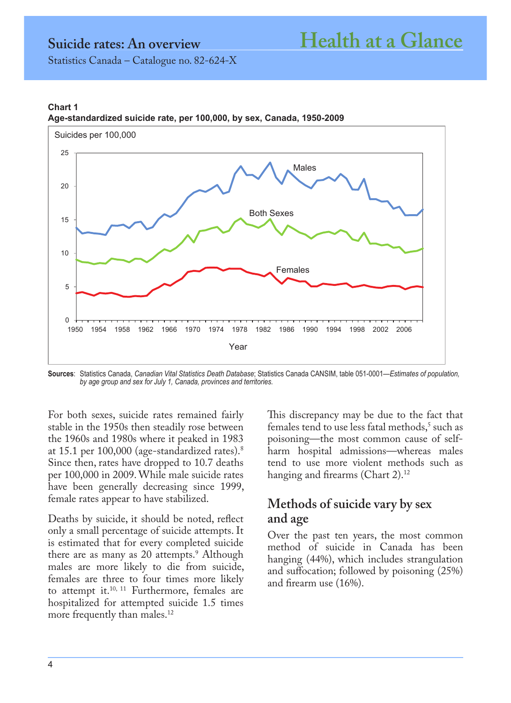## **Chart 1 Age-standardized suicide rate, per 100,000, by sex, Canada, 1950-2009**



**Sources**: Statistics Canada, *Canadian Vital Statistics Death Database*; Statistics Canada CANSIM, table 051-0001—*Estimates of population, by age group and sex for July 1, Canada, provinces and territories.*

For both sexes, suicide rates remained fairly stable in the 1950s then steadily rose between the 1960s and 1980s where it peaked in 1983 at 15.1 per 100,000 (age-standardized rates).8 Since then, rates have dropped to 10.7 deaths per 100,000 in 2009. While male suicide rates have been generally decreasing since 1999, female rates appear to have stabilized.

Deaths by suicide, it should be noted, reflect only a small percentage of suicide attempts. It is estimated that for every completed suicide there are as many as 20 attempts.<sup>9</sup> Although males are more likely to die from suicide, females are three to four times more likely to attempt it.<sup>10, 11</sup> Furthermore, females are hospitalized for attempted suicide 1.5 times more frequently than males. $^{12}$ 

This discrepancy may be due to the fact that females tend to use less fatal methods,<sup>5</sup> such as poisoning—the most common cause of selfharm hospital admissions—whereas males tend to use more violent methods such as hanging and firearms (Chart 2).<sup>12</sup>

# **Methods of suicide vary by sex and age**

Over the past ten years, the most common method of suicide in Canada has been hanging (44%), which includes strangulation and suffocation; followed by poisoning (25%) and firearm use (16%).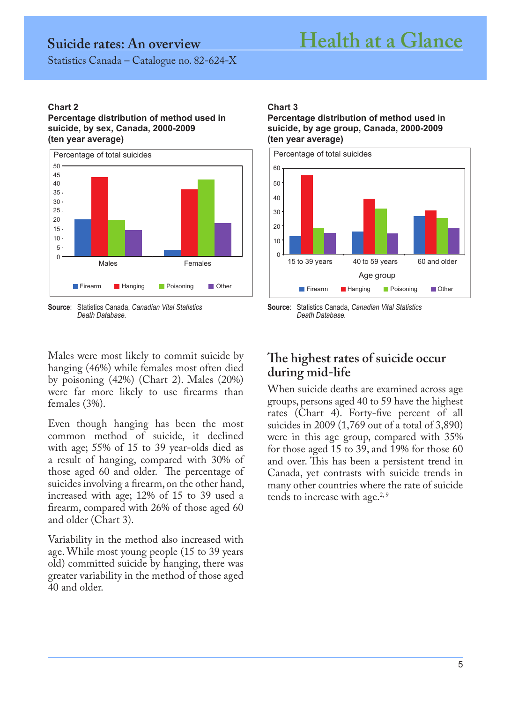# **Suicide rates: An overview Health at a Glance**

Statistics Canada – Catalogue no. 82-624-X

## **Chart 2**

**Percentage distribution of method used in suicide, by sex, Canada, 2000-2009 (ten year average)**



**Source**: Statistics Canada, *Canadian Vital Statistics Death Database.*

## **Chart 3**

**Percentage distribution of method used in suicide, by age group, Canada, 2000-2009 (ten year average)** 



**Source**: Statistics Canada, *Canadian Vital Statistics Death Database.*

Males were most likely to commit suicide by hanging (46%) while females most often died by poisoning (42%) (Chart 2). Males (20%) were far more likely to use firearms than females (3%).

Even though hanging has been the most common method of suicide, it declined with age; 55% of 15 to 39 year-olds died as a result of hanging, compared with 30% of those aged 60 and older. The percentage of suicides involving a firearm, on the other hand, increased with age; 12% of 15 to 39 used a firearm, compared with 26% of those aged 60 and older (Chart 3).

Variability in the method also increased with age. While most young people (15 to 39 years old) committed suicide by hanging, there was greater variability in the method of those aged 40 and older.

# **The highest rates of suicide occur during mid-life**

When suicide deaths are examined across age groups, persons aged 40 to 59 have the highest rates (Chart 4). Forty-five percent of all suicides in 2009 (1,769 out of a total of 3,890) were in this age group, compared with 35% for those aged 15 to 39, and 19% for those 60 and over. This has been a persistent trend in Canada, yet contrasts with suicide trends in many other countries where the rate of suicide tends to increase with age.<sup>2,9</sup>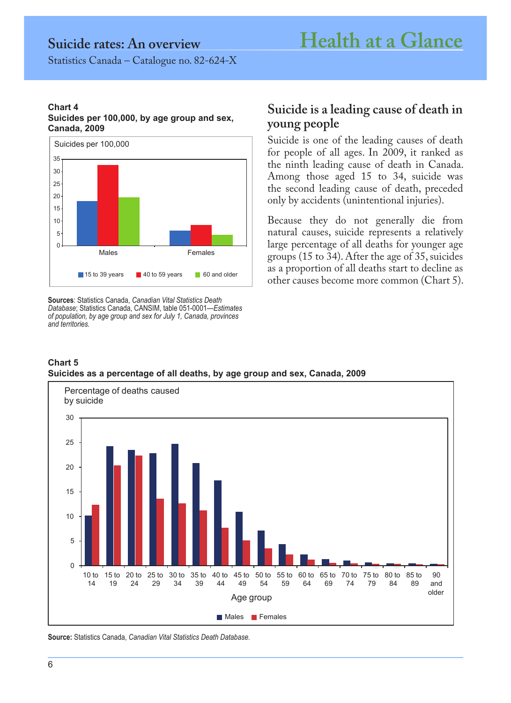### **Chart 4 Suicides per 100,000, by age group and sex, Canada, 2009**



**Sources**: Statistics Canada, *Canadian Vital Statistics Death Database*; Statistics Canada, CANSIM, table 051-0001—*Estimates of population, by age group and sex for July 1, Canada, provinces and territories.*

## **Suicide is a leading cause of death in young people**

Suicide is one of the leading causes of death for people of all ages. In 2009, it ranked as the ninth leading cause of death in Canada. Among those aged 15 to 34, suicide was the second leading cause of death, preceded only by accidents (unintentional injuries).

Because they do not generally die from natural causes, suicide represents a relatively large percentage of all deaths for younger age groups (15 to 34). After the age of 35, suicides as a proportion of all deaths start to decline as other causes become more common (Chart 5).





**Source:** Statistics Canada, *Canadian Vital Statistics Death Database.*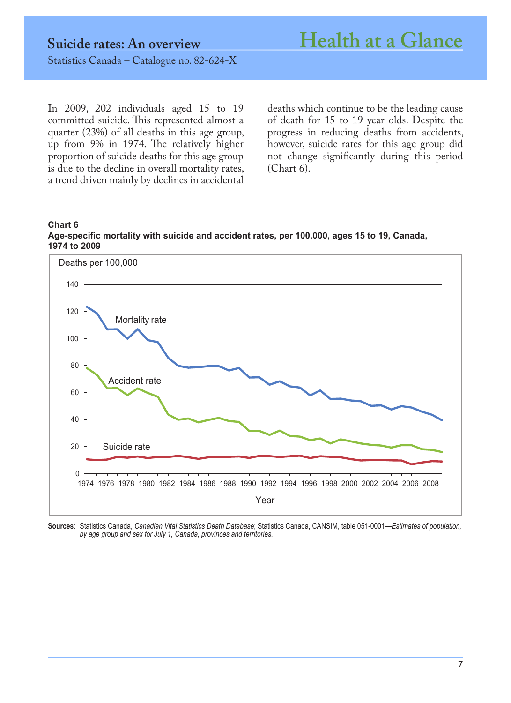In 2009, 202 individuals aged 15 to 19 committed suicide. This represented almost a quarter (23%) of all deaths in this age group, up from 9% in 1974. The relatively higher proportion of suicide deaths for this age group is due to the decline in overall mortality rates, a trend driven mainly by declines in accidental

deaths which continue to be the leading cause of death for 15 to 19 year olds. Despite the progress in reducing deaths from accidents, however, suicide rates for this age group did not change significantly during this period (Chart 6).





**Sources**: Statistics Canada, *Canadian Vital Statistics Death Database*; Statistics Canada, CANSIM, table 051-0001—*Estimates of population, by age group and sex for July 1, Canada, provinces and territories.*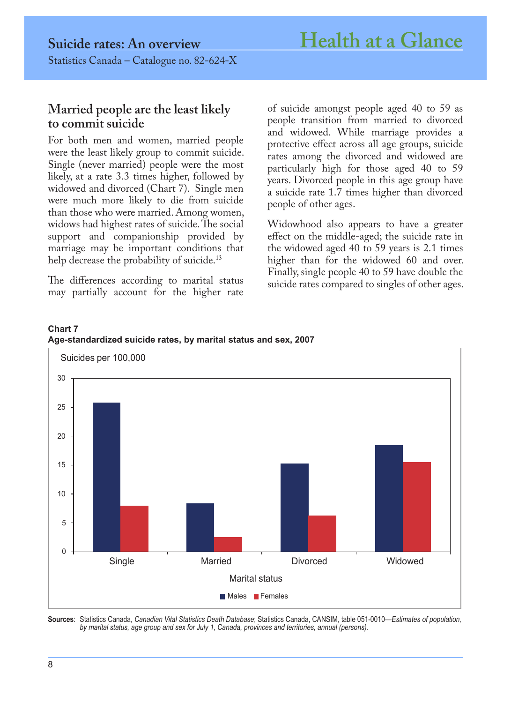## **Married people are the least likely to commit suicide**

For both men and women, married people were the least likely group to commit suicide. Single (never married) people were the most likely, at a rate 3.3 times higher, followed by widowed and divorced (Chart 7). Single men were much more likely to die from suicide than those who were married. Among women, widows had highest rates of suicide. The social support and companionship provided by marriage may be important conditions that help decrease the probability of suicide.<sup>13</sup>

The differences according to marital status may partially account for the higher rate of suicide amongst people aged 40 to 59 as people transition from married to divorced and widowed. While marriage provides a protective effect across all age groups, suicide rates among the divorced and widowed are particularly high for those aged 40 to 59 years. Divorced people in this age group have a suicide rate 1.7 times higher than divorced people of other ages.

Widowhood also appears to have a greater effect on the middle-aged; the suicide rate in the widowed aged 40 to 59 years is 2.1 times higher than for the widowed 60 and over. Finally, single people 40 to 59 have double the suicide rates compared to singles of other ages.



**Chart 7 Age-standardized suicide rates, by marital status and sex, 2007**

**Sources**: Statistics Canada, *Canadian Vital Statistics Death Database*; Statistics Canada, CANSIM, table 051-0010—*Estimates of population, by marital status, age group and sex for July 1, Canada, provinces and territories, annual (persons).*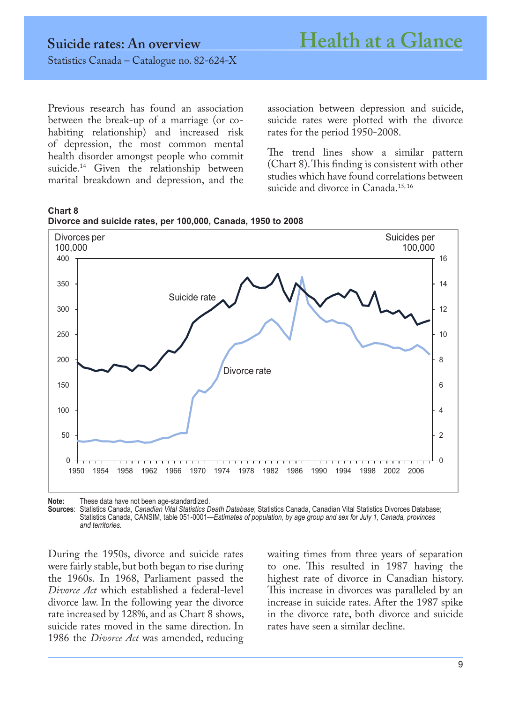Previous research has found an association between the break-up of a marriage (or cohabiting relationship) and increased risk of depression, the most common mental health disorder amongst people who commit suicide.<sup>14</sup> Given the relationship between marital breakdown and depression, and the association between depression and suicide, suicide rates were plotted with the divorce rates for the period 1950-2008.

The trend lines show a similar pattern (Chart 8). This finding is consistent with other studies which have found correlations between suicide and divorce in Canada.<sup>15, 16</sup>





**Note:** These data have not been age-standardized.

**Sources**: Statistics Canada, *Canadian Vital Statistics Death Database*; Statistics Canada, Canadian Vital Statistics Divorces Database; Statistics Canada, CANSIM, table 051-0001—*Estimates of population, by age group and sex for July 1, Canada, provinces and territories.*

During the 1950s, divorce and suicide rates were fairly stable, but both began to rise during the 1960s. In 1968, Parliament passed the *Divorce Act* which established a federal-level divorce law. In the following year the divorce rate increased by 128%, and as Chart 8 shows, suicide rates moved in the same direction. In 1986 the *Divorce Act* was amended, reducing waiting times from three years of separation to one. This resulted in 1987 having the highest rate of divorce in Canadian history. This increase in divorces was paralleled by an increase in suicide rates. After the 1987 spike in the divorce rate, both divorce and suicide rates have seen a similar decline.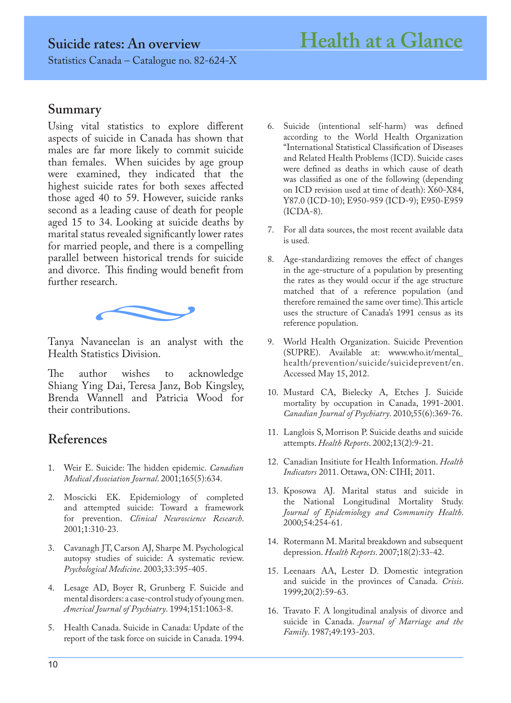## **Summary**

Using vital statistics to explore different aspects of suicide in Canada has shown that males are far more likely to commit suicide than females. When suicides by age group were examined, they indicated that the highest suicide rates for both sexes affected those aged 40 to 59. However, suicide ranks second as a leading cause of death for people aged 15 to 34. Looking at suicide deaths by marital status revealed significantly lower rates for married people, and there is a compelling parallel between historical trends for suicide and divorce. This finding would benefit from further research.



Tanya Navaneelan is an analyst with the Health Statistics Division.

The author wishes to acknowledge Shiang Ying Dai, Teresa Janz, Bob Kingsley, Brenda Wannell and Patricia Wood for their contributions.

# **References**

- 1. Weir E. Suicide: The hidden epidemic. *Canadian Medical Association Journal*. 2001;165(5):634.
- 2. Moscicki EK. Epidemiology of completed and attempted suicide: Toward a framework for prevention. *Clinical Neuroscience Research*. 2001;1:310-23.
- 3. Cavanagh JT, Carson AJ, Sharpe M. Psychological autopsy studies of suicide: A systematic review. *Psychological Medicine*. 2003;33:395-405.
- 4. Lesage AD, Boyer R, Grunberg F. Suicide and mental disorders: a case-control study of young men. *Americal Journal of Psychiatry*. 1994;151:1063-8.
- 5. Health Canada. Suicide in Canada: Update of the report of the task force on suicide in Canada. 1994.
- 6. Suicide (intentional self-harm) was defined according to the World Health Organization "International Statistical Classification of Diseases and Related Health Problems (ICD). Suicide cases were defined as deaths in which cause of death was classified as one of the following (depending on ICD revision used at time of death): X60-X84, Y87.0 (ICD-10); E950-959 (ICD-9); E950-E959 (ICDA-8).
- 7. For all data sources, the most recent available data is used.
- 8. Age-standardizing removes the effect of changes in the age-structure of a population by presenting the rates as they would occur if the age structure matched that of a reference population (and therefore remained the same over time). This article uses the structure of Canada's 1991 census as its reference population.
- 9. World Health Organization. Suicide Prevention (SUPRE). Available at: [www.who.it/mental\\_](file:///C:\Users\fergmag\AppData\Local\Microsoft\Windows\Temporary%20Internet%20Files\Content.Outlook\9T26YJFZ\www.who.it\mental_health\prevention\suicide\suicideprevent\en) [health/prevention/suicide/suicideprevent/en](file:///C:\Users\fergmag\AppData\Local\Microsoft\Windows\Temporary%20Internet%20Files\Content.Outlook\9T26YJFZ\www.who.it\mental_health\prevention\suicide\suicideprevent\en). Accessed May 15, 2012.
- 10. Mustard CA, Bielecky A, Etches J. Suicide mortality by occupation in Canada, 1991-2001. *Canadian Journal of Psychiatry*. 2010;55(6):369-76.
- 11. Langlois S, Morrison P. Suicide deaths and suicide attempts. *Health Reports*. 2002;13(2):9-21.
- 12. Canadian Insitiute for Health Information. *Health Indicators* 2011. Ottawa, ON: CIHI; 2011.
- 13. Kposowa AJ. Marital status and suicide in the National Longitudinal Mortality Study. *Journal of Epidemiology and Community Health*. 2000;54:254-61.
- 14. Rotermann M. Marital breakdown and subsequent depression. *Health Reports*. 2007;18(2):33-42.
- 15. Leenaars AA, Lester D. Domestic integration and suicide in the provinces of Canada. *Crisis*. 1999;20(2):59-63.
- 16. Travato F. A longitudinal analysis of divorce and suicide in Canada. *Journal of Marriage and the Family*. 1987;49:193-203.